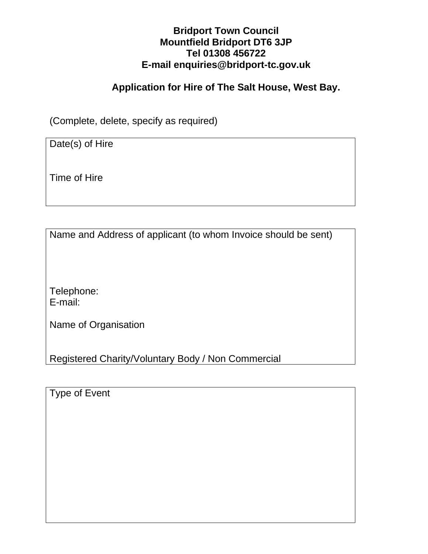### **Bridport Town Council Mountfield Bridport DT6 3JP Tel 01308 456722 E-mail enquiries@bridport-tc.gov.uk**

### **Application for Hire of The Salt House, West Bay.**

(Complete, delete, specify as required)

Date(s) of Hire

Time of Hire

Name and Address of applicant (to whom Invoice should be sent)

Telephone: E-mail:

Name of Organisation

Registered Charity/Voluntary Body / Non Commercial

Type of Event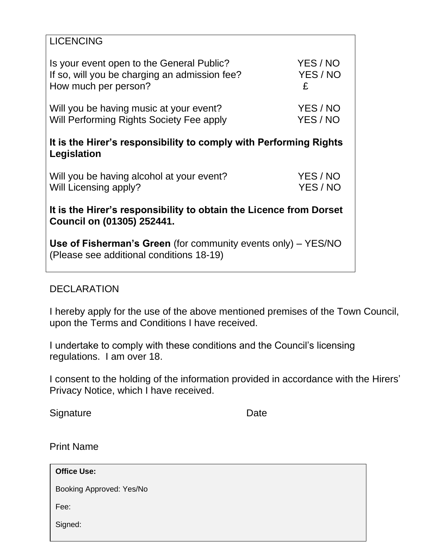| <b>LICENCING</b>                                                                                                 |               |
|------------------------------------------------------------------------------------------------------------------|---------------|
| Is your event open to the General Public?                                                                        | YES / NO      |
| If so, will you be charging an admission fee?<br>How much per person?                                            | YES / NO<br>£ |
| Will you be having music at your event?                                                                          | YES / NO      |
| Will Performing Rights Society Fee apply                                                                         | YES/NO        |
| It is the Hirer's responsibility to comply with Performing Rights<br>Legislation                                 |               |
| Will you be having alcohol at your event?                                                                        | YES / NO      |
| Will Licensing apply?                                                                                            | YES / NO      |
| It is the Hirer's responsibility to obtain the Licence from Dorset<br>Council on (01305) 252441.                 |               |
| <b>Use of Fisherman's Green</b> (for community events only) – YES/NO<br>(Please see additional conditions 18-19) |               |
|                                                                                                                  |               |

### DECLARATION

I hereby apply for the use of the above mentioned premises of the Town Council, upon the Terms and Conditions I have received.

I undertake to comply with these conditions and the Council's licensing regulations. I am over 18.

I consent to the holding of the information provided in accordance with the Hirers' Privacy Notice, which I have received.

Signature Date

Print Name

**Office Use:**

Booking Approved: Yes/No

Fee:

Signed: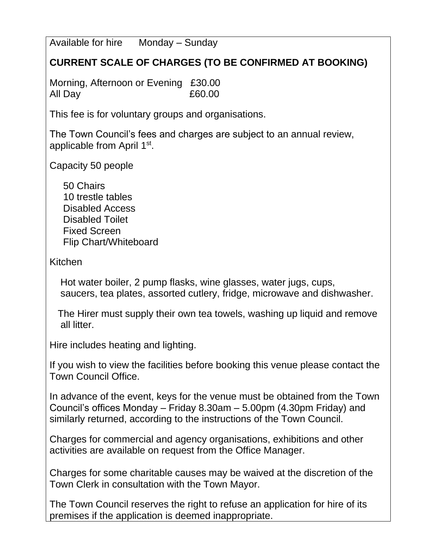Available for hire Monday – Sunday

# **CURRENT SCALE OF CHARGES (TO BE CONFIRMED AT BOOKING)**

Morning, Afternoon or Evening £30.00 All Day £60.00

This fee is for voluntary groups and organisations.

The Town Council's fees and charges are subject to an annual review, applicable from April 1<sup>st</sup>.

Capacity 50 people

 50 Chairs 10 trestle tables Disabled Access Disabled Toilet Fixed Screen Flip Chart/Whiteboard

Kitchen

 Hot water boiler, 2 pump flasks, wine glasses, water jugs, cups, saucers, tea plates, assorted cutlery, fridge, microwave and dishwasher.

 The Hirer must supply their own tea towels, washing up liquid and remove all litter.

Hire includes heating and lighting.

If you wish to view the facilities before booking this venue please contact the Town Council Office.

In advance of the event, keys for the venue must be obtained from the Town Council's offices Monday – Friday 8.30am – 5.00pm (4.30pm Friday) and similarly returned, according to the instructions of the Town Council.

Charges for commercial and agency organisations, exhibitions and other activities are available on request from the Office Manager.

Charges for some charitable causes may be waived at the discretion of the Town Clerk in consultation with the Town Mayor.

The Town Council reserves the right to refuse an application for hire of its premises if the application is deemed inappropriate.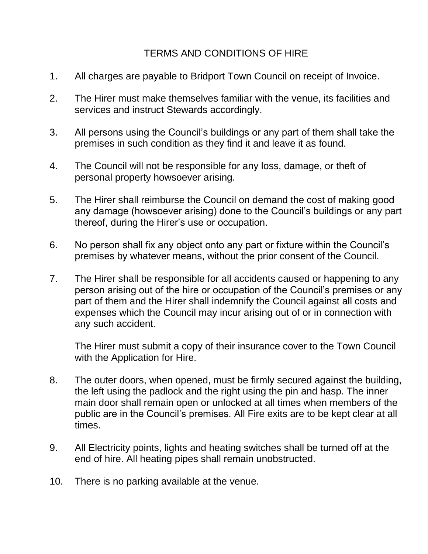## TERMS AND CONDITIONS OF HIRE

- 1. All charges are payable to Bridport Town Council on receipt of Invoice.
- 2. The Hirer must make themselves familiar with the venue, its facilities and services and instruct Stewards accordingly.
- 3. All persons using the Council's buildings or any part of them shall take the premises in such condition as they find it and leave it as found.
- 4. The Council will not be responsible for any loss, damage, or theft of personal property howsoever arising.
- 5. The Hirer shall reimburse the Council on demand the cost of making good any damage (howsoever arising) done to the Council's buildings or any part thereof, during the Hirer's use or occupation.
- 6. No person shall fix any object onto any part or fixture within the Council's premises by whatever means, without the prior consent of the Council.
- 7. The Hirer shall be responsible for all accidents caused or happening to any person arising out of the hire or occupation of the Council's premises or any part of them and the Hirer shall indemnify the Council against all costs and expenses which the Council may incur arising out of or in connection with any such accident.

The Hirer must submit a copy of their insurance cover to the Town Council with the Application for Hire.

- 8. The outer doors, when opened, must be firmly secured against the building, the left using the padlock and the right using the pin and hasp. The inner main door shall remain open or unlocked at all times when members of the public are in the Council's premises. All Fire exits are to be kept clear at all times.
- 9. All Electricity points, lights and heating switches shall be turned off at the end of hire. All heating pipes shall remain unobstructed.
- 10. There is no parking available at the venue.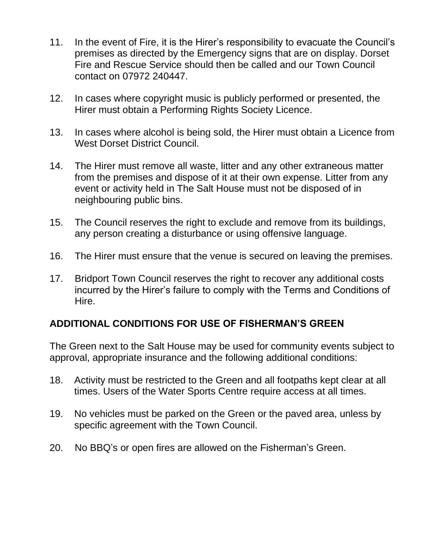- 11. In the event of Fire, it is the Hirer's responsibility to evacuate the Council's premises as directed by the Emergency signs that are on display. Dorset Fire and Rescue Service should then be called and our Town Council contact on 07972 240447.
- 12. In cases where copyright music is publicly performed or presented, the Hirer must obtain a Performing Rights Society Licence.
- 13. In cases where alcohol is being sold, the Hirer must obtain a Licence from West Dorset District Council.
- 14. The Hirer must remove all waste, litter and any other extraneous matter from the premises and dispose of it at their own expense. Litter from any event or activity held in The Salt House must not be disposed of in neighbouring public bins.
- 15. The Council reserves the right to exclude and remove from its buildings, any person creating a disturbance or using offensive language.
- 16. The Hirer must ensure that the venue is secured on leaving the premises.
- 17. Bridport Town Council reserves the right to recover any additional costs incurred by the Hirer's failure to comply with the Terms and Conditions of Hire.

## **ADDITIONAL CONDITIONS FOR USE OF FISHERMAN'S GREEN**

The Green next to the Salt House may be used for community events subject to approval, appropriate insurance and the following additional conditions:

- 18. Activity must be restricted to the Green and all footpaths kept clear at all times. Users of the Water Sports Centre require access at all times.
- 19. No vehicles must be parked on the Green or the paved area, unless by specific agreement with the Town Council.
- 20. No BBQ's or open fires are allowed on the Fisherman's Green.